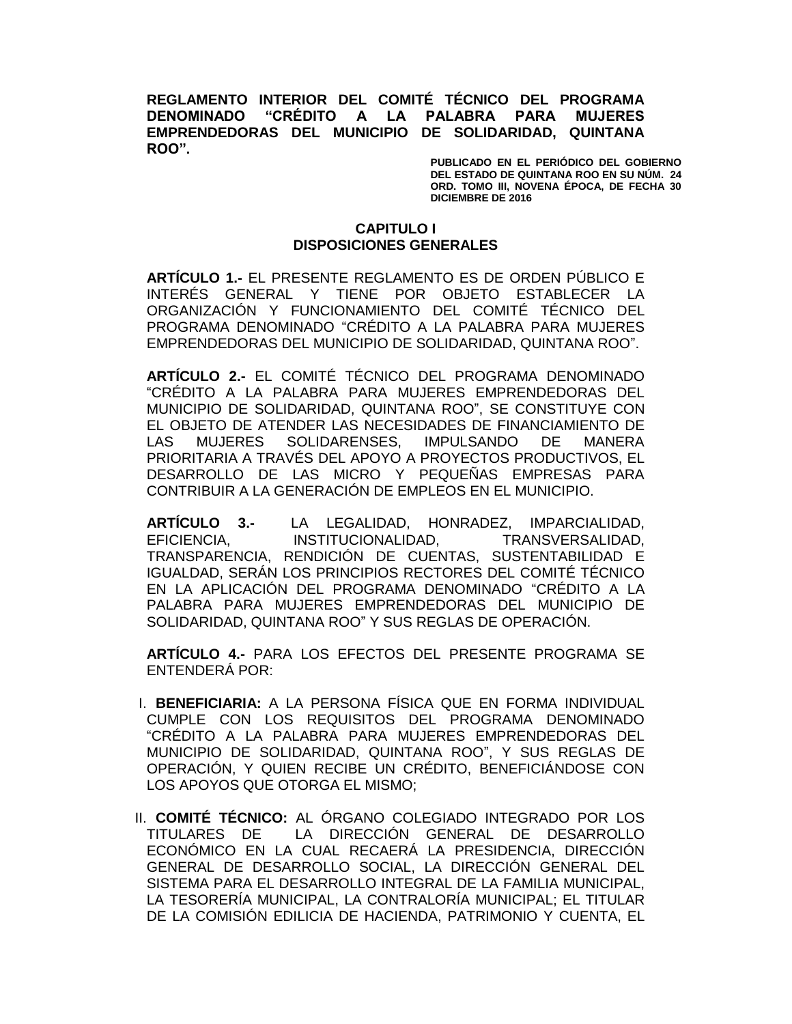**REGLAMENTO INTERIOR DEL COMITÉ TÉCNICO DEL PROGRAMA DENOMINADO "CRÉDITO A LA PALABRA PARA MUJERES EMPRENDEDORAS DEL MUNICIPIO DE SOLIDARIDAD, QUINTANA ROO".**

> **PUBLICADO EN EL PERIÓDICO DEL GOBIERNO DEL ESTADO DE QUINTANA ROO EN SU NÚM. 24 ORD. TOMO III, NOVENA ÉPOCA, DE FECHA 30 DICIEMBRE DE 2016**

### **CAPITULO I DISPOSICIONES GENERALES**

**ARTÍCULO 1.-** EL PRESENTE REGLAMENTO ES DE ORDEN PÚBLICO E INTERÉS GENERAL Y TIENE POR OBJETO ESTABLECER LA ORGANIZACIÓN Y FUNCIONAMIENTO DEL COMITÉ TÉCNICO DEL PROGRAMA DENOMINADO "CRÉDITO A LA PALABRA PARA MUJERES EMPRENDEDORAS DEL MUNICIPIO DE SOLIDARIDAD, QUINTANA ROO".

**ARTÍCULO 2.-** EL COMITÉ TÉCNICO DEL PROGRAMA DENOMINADO "CRÉDITO A LA PALABRA PARA MUJERES EMPRENDEDORAS DEL MUNICIPIO DE SOLIDARIDAD, QUINTANA ROO", SE CONSTITUYE CON EL OBJETO DE ATENDER LAS NECESIDADES DE FINANCIAMIENTO DE LAS MUJERES SOLIDARENSES, IMPULSANDO DE MANERA PRIORITARIA A TRAVÉS DEL APOYO A PROYECTOS PRODUCTIVOS, EL DESARROLLO DE LAS MICRO Y PEQUEÑAS EMPRESAS PARA CONTRIBUIR A LA GENERACIÓN DE EMPLEOS EN EL MUNICIPIO.

**ARTÍCULO 3.-** LA LEGALIDAD, HONRADEZ, IMPARCIALIDAD, EFICIENCIA, INSTITUCIONALIDAD, TRANSVERSALIDAD, TRANSPARENCIA, RENDICIÓN DE CUENTAS, SUSTENTABILIDAD E IGUALDAD, SERÁN LOS PRINCIPIOS RECTORES DEL COMITÉ TÉCNICO EN LA APLICACIÓN DEL PROGRAMA DENOMINADO "CRÉDITO A LA PALABRA PARA MUJERES EMPRENDEDORAS DEL MUNICIPIO DE SOLIDARIDAD, QUINTANA ROO" Y SUS REGLAS DE OPERACIÓN.

**ARTÍCULO 4.-** PARA LOS EFECTOS DEL PRESENTE PROGRAMA SE ENTENDERÁ POR:

- I. **BENEFICIARIA:** A LA PERSONA FÍSICA QUE EN FORMA INDIVIDUAL CUMPLE CON LOS REQUISITOS DEL PROGRAMA DENOMINADO "CRÉDITO A LA PALABRA PARA MUJERES EMPRENDEDORAS DEL MUNICIPIO DE SOLIDARIDAD, QUINTANA ROO", Y SUS REGLAS DE OPERACIÓN, Y QUIEN RECIBE UN CRÉDITO, BENEFICIÁNDOSE CON LOS APOYOS QUE OTORGA EL MISMO;
- II. **COMITÉ TÉCNICO:** AL ÓRGANO COLEGIADO INTEGRADO POR LOS TITULARES DE LA DIRECCIÓN GENERAL DE DESARROLLO ECONÓMICO EN LA CUAL RECAERÁ LA PRESIDENCIA, DIRECCIÓN GENERAL DE DESARROLLO SOCIAL, LA DIRECCIÓN GENERAL DEL SISTEMA PARA EL DESARROLLO INTEGRAL DE LA FAMILIA MUNICIPAL, LA TESORERÍA MUNICIPAL, LA CONTRALORÍA MUNICIPAL; EL TITULAR DE LA COMISIÓN EDILICIA DE HACIENDA, PATRIMONIO Y CUENTA, EL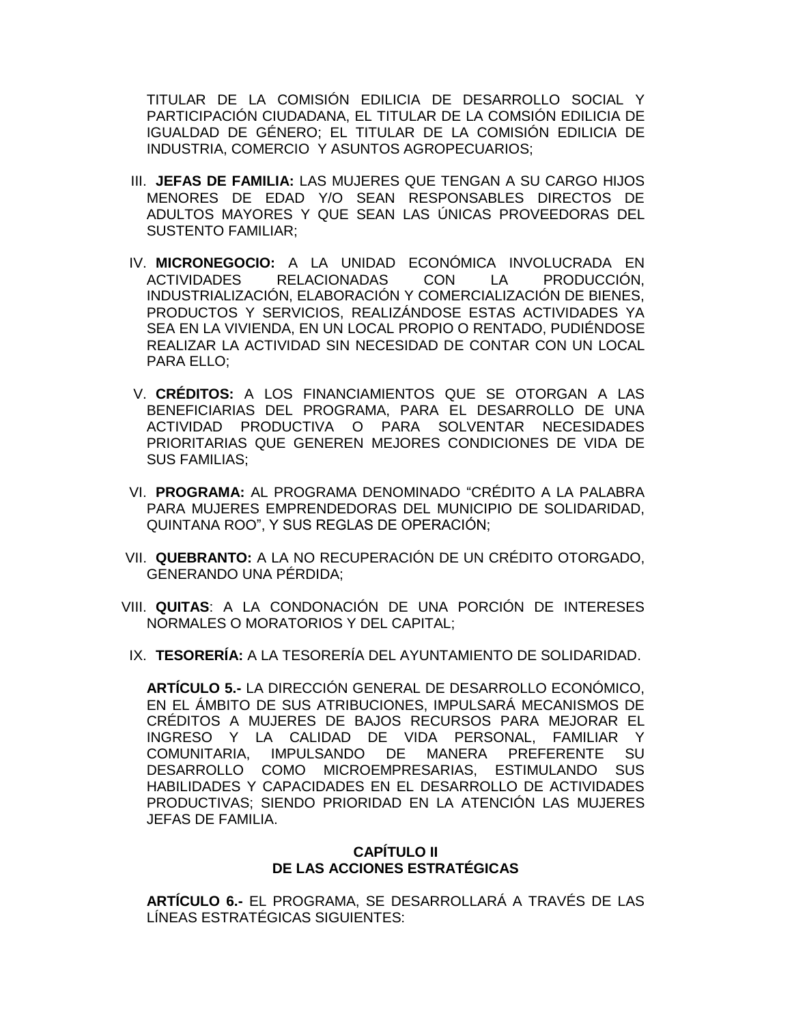TITULAR DE LA COMISIÓN EDILICIA DE DESARROLLO SOCIAL Y PARTICIPACIÓN CIUDADANA, EL TITULAR DE LA COMSIÓN EDILICIA DE IGUALDAD DE GÉNERO; EL TITULAR DE LA COMISIÓN EDILICIA DE INDUSTRIA, COMERCIO Y ASUNTOS AGROPECUARIOS;

- III. **JEFAS DE FAMILIA:** LAS MUJERES QUE TENGAN A SU CARGO HIJOS MENORES DE EDAD Y/O SEAN RESPONSABLES DIRECTOS DE ADULTOS MAYORES Y QUE SEAN LAS ÚNICAS PROVEEDORAS DEL SUSTENTO FAMILIAR;
- IV. **MICRONEGOCIO:** A LA UNIDAD ECONÓMICA INVOLUCRADA EN ACTIVIDADES RELACIONADAS CON LA PRODUCCIÓN, INDUSTRIALIZACIÓN, ELABORACIÓN Y COMERCIALIZACIÓN DE BIENES, PRODUCTOS Y SERVICIOS, REALIZÁNDOSE ESTAS ACTIVIDADES YA SEA EN LA VIVIENDA, EN UN LOCAL PROPIO O RENTADO, PUDIÉNDOSE REALIZAR LA ACTIVIDAD SIN NECESIDAD DE CONTAR CON UN LOCAL PARA ELLO;
- V. **CRÉDITOS:** A LOS FINANCIAMIENTOS QUE SE OTORGAN A LAS BENEFICIARIAS DEL PROGRAMA, PARA EL DESARROLLO DE UNA ACTIVIDAD PRODUCTIVA O PARA SOLVENTAR NECESIDADES PRIORITARIAS QUE GENEREN MEJORES CONDICIONES DE VIDA DE SUS FAMILIAS;
- VI. **PROGRAMA:** AL PROGRAMA DENOMINADO "CRÉDITO A LA PALABRA PARA MUJERES EMPRENDEDORAS DEL MUNICIPIO DE SOLIDARIDAD, QUINTANA ROO", Y SUS REGLAS DE OPERACIÓN;
- VII. **QUEBRANTO:** A LA NO RECUPERACIÓN DE UN CRÉDITO OTORGADO, GENERANDO UNA PÉRDIDA;
- VIII. **QUITAS**: A LA CONDONACIÓN DE UNA PORCIÓN DE INTERESES NORMALES O MORATORIOS Y DEL CAPITAL;
- IX. **TESORERÍA:** A LA TESORERÍA DEL AYUNTAMIENTO DE SOLIDARIDAD.

**ARTÍCULO 5.-** LA DIRECCIÓN GENERAL DE DESARROLLO ECONÓMICO, EN EL ÁMBITO DE SUS ATRIBUCIONES, IMPULSARÁ MECANISMOS DE CRÉDITOS A MUJERES DE BAJOS RECURSOS PARA MEJORAR EL INGRESO Y LA CALIDAD DE VIDA PERSONAL, FAMILIAR Y COMUNITARIA, IMPULSANDO DE MANERA PREFERENTE SU DESARROLLO COMO MICROEMPRESARIAS, ESTIMULANDO SUS HABILIDADES Y CAPACIDADES EN EL DESARROLLO DE ACTIVIDADES PRODUCTIVAS; SIENDO PRIORIDAD EN LA ATENCIÓN LAS MUJERES JEFAS DE FAMILIA.

# **CAPÍTULO II DE LAS ACCIONES ESTRATÉGICAS**

**ARTÍCULO 6.-** EL PROGRAMA, SE DESARROLLARÁ A TRAVÉS DE LAS LÍNEAS ESTRATÉGICAS SIGUIENTES: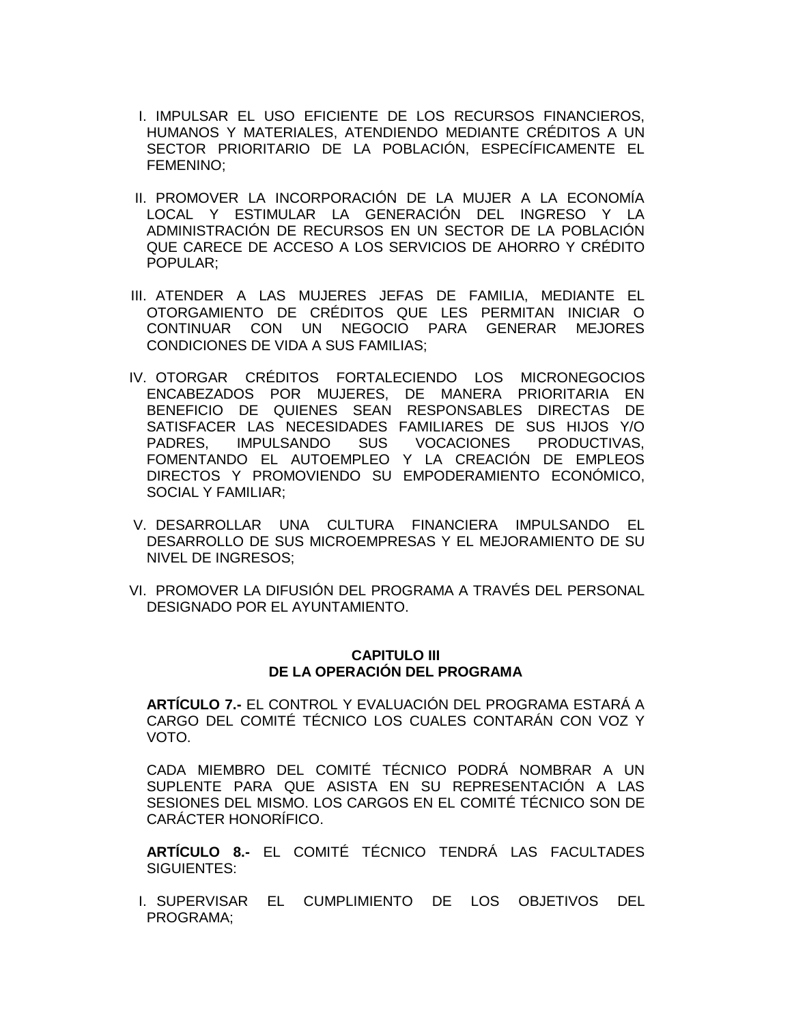- I. IMPULSAR EL USO EFICIENTE DE LOS RECURSOS FINANCIEROS, HUMANOS Y MATERIALES, ATENDIENDO MEDIANTE CRÉDITOS A UN SECTOR PRIORITARIO DE LA POBLACIÓN, ESPECÍFICAMENTE EL FEMENINO;
- II. PROMOVER LA INCORPORACIÓN DE LA MUJER A LA ECONOMÍA LOCAL Y ESTIMULAR LA GENERACIÓN DEL INGRESO Y LA ADMINISTRACIÓN DE RECURSOS EN UN SECTOR DE LA POBLACIÓN QUE CARECE DE ACCESO A LOS SERVICIOS DE AHORRO Y CRÉDITO POPULAR;
- III. ATENDER A LAS MUJERES JEFAS DE FAMILIA, MEDIANTE EL OTORGAMIENTO DE CRÉDITOS QUE LES PERMITAN INICIAR O CONTINUAR CON UN NEGOCIO PARA GENERAR MEJORES CONDICIONES DE VIDA A SUS FAMILIAS;
- IV. OTORGAR CRÉDITOS FORTALECIENDO LOS MICRONEGOCIOS ENCABEZADOS POR MUJERES, DE MANERA PRIORITARIA EN BENEFICIO DE QUIENES SEAN RESPONSABLES DIRECTAS DE SATISFACER LAS NECESIDADES FAMILIARES DE SUS HIJOS Y/O PADRES, IMPULSANDO SUS VOCACIONES PRODUCTIVAS, FOMENTANDO EL AUTOEMPLEO Y LA CREACIÓN DE EMPLEOS DIRECTOS Y PROMOVIENDO SU EMPODERAMIENTO ECONÓMICO, SOCIAL Y FAMILIAR;
- V. DESARROLLAR UNA CULTURA FINANCIERA IMPULSANDO EL DESARROLLO DE SUS MICROEMPRESAS Y EL MEJORAMIENTO DE SU NIVEL DE INGRESOS;
- VI. PROMOVER LA DIFUSIÓN DEL PROGRAMA A TRAVÉS DEL PERSONAL DESIGNADO POR EL AYUNTAMIENTO.

### **CAPITULO III DE LA OPERACIÓN DEL PROGRAMA**

**ARTÍCULO 7.-** EL CONTROL Y EVALUACIÓN DEL PROGRAMA ESTARÁ A CARGO DEL COMITÉ TÉCNICO LOS CUALES CONTARÁN CON VOZ Y VOTO.

CADA MIEMBRO DEL COMITÉ TÉCNICO PODRÁ NOMBRAR A UN SUPLENTE PARA QUE ASISTA EN SU REPRESENTACIÓN A LAS SESIONES DEL MISMO. LOS CARGOS EN EL COMITÉ TÉCNICO SON DE CARÁCTER HONORÍFICO.

**ARTÍCULO 8.-** EL COMITÉ TÉCNICO TENDRÁ LAS FACULTADES SIGUIENTES:

I. SUPERVISAR EL CUMPLIMIENTO DE LOS OBJETIVOS DEL PROGRAMA;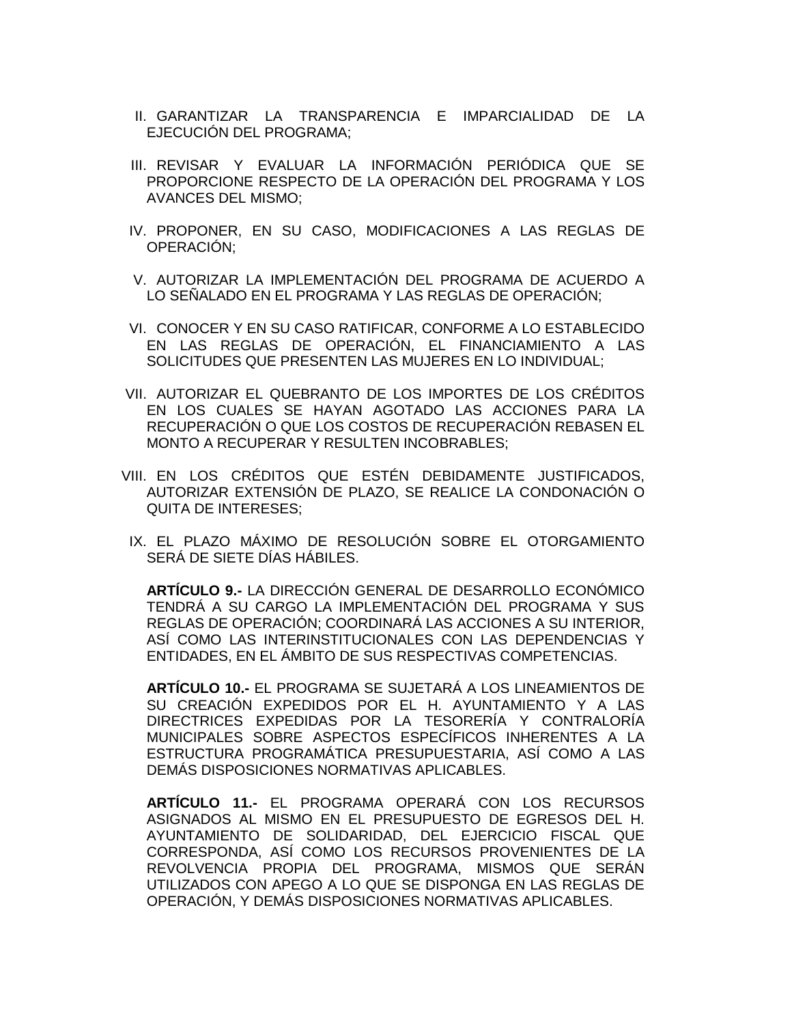- II. GARANTIZAR LA TRANSPARENCIA E IMPARCIALIDAD DE LA EJECUCIÓN DEL PROGRAMA;
- III. REVISAR Y EVALUAR LA INFORMACIÓN PERIÓDICA QUE SE PROPORCIONE RESPECTO DE LA OPERACIÓN DEL PROGRAMA Y LOS AVANCES DEL MISMO;
- IV. PROPONER, EN SU CASO, MODIFICACIONES A LAS REGLAS DE OPERACIÓN;
- V. AUTORIZAR LA IMPLEMENTACIÓN DEL PROGRAMA DE ACUERDO A LO SEÑALADO EN EL PROGRAMA Y LAS REGLAS DE OPERACIÓN;
- VI. CONOCER Y EN SU CASO RATIFICAR, CONFORME A LO ESTABLECIDO EN LAS REGLAS DE OPERACIÓN, EL FINANCIAMIENTO A LAS SOLICITUDES QUE PRESENTEN LAS MUJERES EN LO INDIVIDUAL;
- VII. AUTORIZAR EL QUEBRANTO DE LOS IMPORTES DE LOS CRÉDITOS EN LOS CUALES SE HAYAN AGOTADO LAS ACCIONES PARA LA RECUPERACIÓN O QUE LOS COSTOS DE RECUPERACIÓN REBASEN EL MONTO A RECUPERAR Y RESULTEN INCOBRABLES;
- VIII. EN LOS CRÉDITOS QUE ESTÉN DEBIDAMENTE JUSTIFICADOS, AUTORIZAR EXTENSIÓN DE PLAZO, SE REALICE LA CONDONACIÓN O QUITA DE INTERESES;
- IX. EL PLAZO MÁXIMO DE RESOLUCIÓN SOBRE EL OTORGAMIENTO SERÁ DE SIETE DÍAS HÁBILES.

**ARTÍCULO 9.-** LA DIRECCIÓN GENERAL DE DESARROLLO ECONÓMICO TENDRÁ A SU CARGO LA IMPLEMENTACIÓN DEL PROGRAMA Y SUS REGLAS DE OPERACIÓN; COORDINARÁ LAS ACCIONES A SU INTERIOR, ASÍ COMO LAS INTERINSTITUCIONALES CON LAS DEPENDENCIAS Y ENTIDADES, EN EL ÁMBITO DE SUS RESPECTIVAS COMPETENCIAS.

**ARTÍCULO 10.-** EL PROGRAMA SE SUJETARÁ A LOS LINEAMIENTOS DE SU CREACIÓN EXPEDIDOS POR EL H. AYUNTAMIENTO Y A LAS DIRECTRICES EXPEDIDAS POR LA TESORERÍA Y CONTRALORÍA MUNICIPALES SOBRE ASPECTOS ESPECÍFICOS INHERENTES A LA ESTRUCTURA PROGRAMÁTICA PRESUPUESTARIA, ASÍ COMO A LAS DEMÁS DISPOSICIONES NORMATIVAS APLICABLES.

**ARTÍCULO 11.-** EL PROGRAMA OPERARÁ CON LOS RECURSOS ASIGNADOS AL MISMO EN EL PRESUPUESTO DE EGRESOS DEL H. AYUNTAMIENTO DE SOLIDARIDAD, DEL EJERCICIO FISCAL QUE CORRESPONDA, ASÍ COMO LOS RECURSOS PROVENIENTES DE LA REVOLVENCIA PROPIA DEL PROGRAMA, MISMOS QUE SERÁN UTILIZADOS CON APEGO A LO QUE SE DISPONGA EN LAS REGLAS DE OPERACIÓN, Y DEMÁS DISPOSICIONES NORMATIVAS APLICABLES.